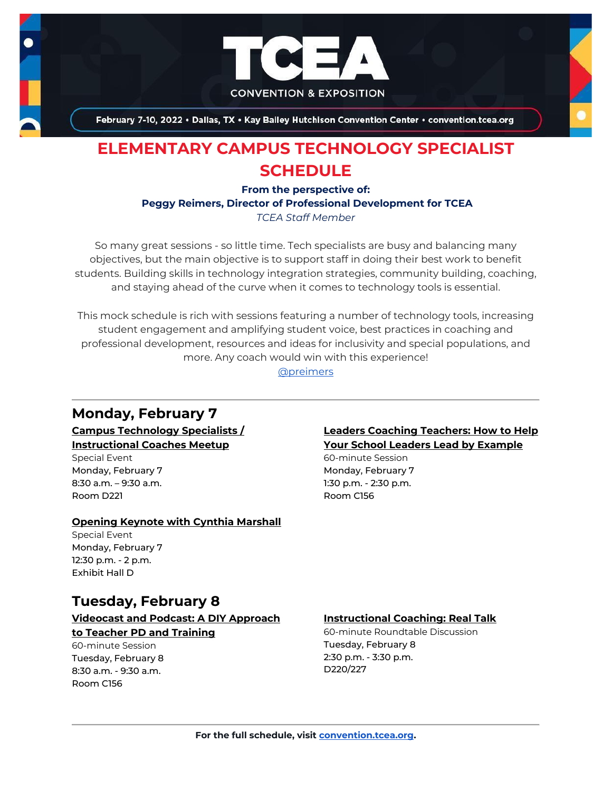

February 7-10, 2022 . Dallas, TX . Kay Bailey Hutchison Convention Center . convention.tcea.org

# **ELEMENTARY CAMPUS TECHNOLOGY SPECIALIST SCHEDULE**

**From the perspective of:**

**Peggy Reimers, Director of Professional Development for TCEA**

*TCEA Staff Member*

So many great sessions - so little time. Tech specialists are busy and balancing many objectives, but the main objective is to support staff in doing their best work to benefit students. Building skills in technology integration strategies, community building, coaching, and staying ahead of the curve when it comes to technology tools is essential.

This mock schedule is rich with sessions featuring a number of technology tools, increasing student engagement and amplifying student voice, best practices in coaching and professional development, resources and ideas for inclusivity and special populations, and more. Any coach would win with this experience!

[@preimers](https://twitter.com/preimers)

# **Monday, February 7**

**[Campus Technology Specialists /](https://register.tcea.org/2022/session_list.cfm?session_key=5EB20E65-F04D-A206-2B64-33F47EC0EC1E&session_date=Monday,%20Feb%2007,%202022)  [Instructional Coaches Meetup](https://register.tcea.org/2022/session_list.cfm?session_key=5EB20E65-F04D-A206-2B64-33F47EC0EC1E&session_date=Monday,%20Feb%2007,%202022)**

Special Event Monday, February 7 8:30 a.m. – 9:30 a.m. Room D221

#### **[Opening Keynote with Cynthia Marshall](https://register.tcea.org/2022/session_list.cfm?session_key=5F0745B8-F04D-A206-2B64-0D4631096E34&session_date=Monday,%20Feb%2007,%202022)**

Special Event Monday, February 7 12:30 p.m. - 2 p.m. Exhibit Hall D

# **Tuesday, February 8**

#### **[Videocast and Podcast: A DIY Approach](https://register.tcea.org/2022/session_list.cfm?session_key=02453462-F04D-A206-2B64-2478478B5300&session_date=Tuesday,%20Feb%2008,%202022)  [to Teacher PD and Training](https://register.tcea.org/2022/session_list.cfm?session_key=02453462-F04D-A206-2B64-2478478B5300&session_date=Tuesday,%20Feb%2008,%202022)**

60-minute Session Tuesday, February 8 8:30 a.m. - 9:30 a.m. Room C156

### **[Leaders Coaching Teachers: How to Help](https://register.tcea.org/2022/session_list.cfm?session_key=023C3FFA-F04D-A206-2B64-C47996E130C6&session_date=Monday,%20Feb%2007,%202022)  [Your School Leaders Lead by Example](https://register.tcea.org/2022/session_list.cfm?session_key=023C3FFA-F04D-A206-2B64-C47996E130C6&session_date=Monday,%20Feb%2007,%202022)**

60-minute Session Monday, February 7 1:30 p.m. - 2:30 p.m. Room C156

#### **[Instructional Coaching: Real Talk](https://register.tcea.org/2022/session_list.cfm?session_key=023B79CD-F04D-A206-2B64-1CE6FD3B8C55&session_date=Tuesday,%20Feb%2008,%202022)**

60-minute Roundtable Discussion Tuesday, February 8 2:30 p.m. - 3:30 p.m. D220/227